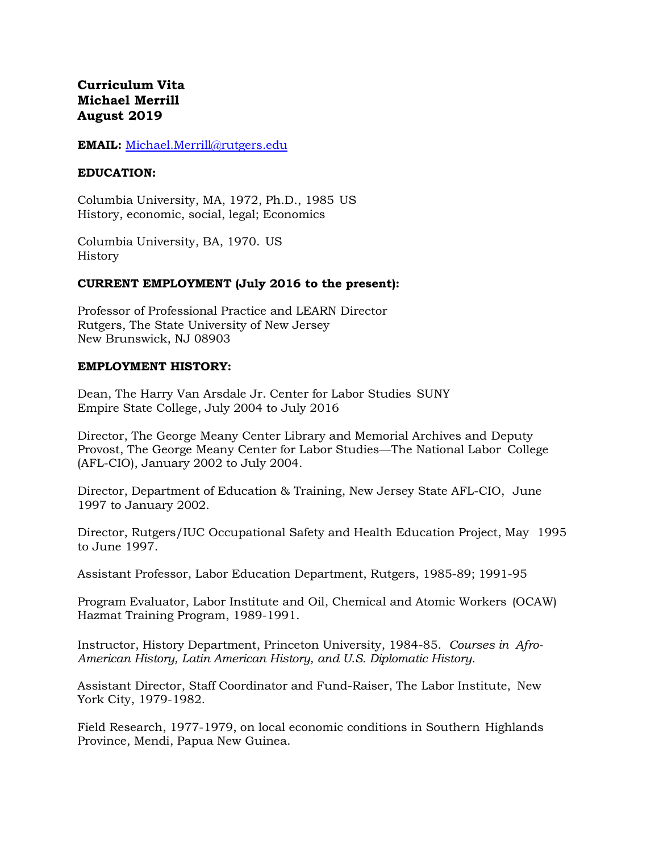**Curriculum Vita Michael Merrill August 2019**

#### **EMAIL:** [Michael.Merrill@rutgers.edu](mailto:mmerrill@smlr.rutgers.edu)

#### **EDUCATION:**

Columbia University, MA, 1972, Ph.D., 1985 US History, economic, social, legal; Economics

Columbia University, BA, 1970. US History

#### **CURRENT EMPLOYMENT (July 2016 to the present):**

Professor of Professional Practice and LEARN Director Rutgers, The State University of New Jersey New Brunswick, NJ 08903

#### **EMPLOYMENT HISTORY:**

Dean, The Harry Van Arsdale Jr. Center for Labor Studies SUNY Empire State College, July 2004 to July 2016

Director, The George Meany Center Library and Memorial Archives and Deputy Provost, The George Meany Center for Labor Studies—The National Labor College (AFL-CIO), January 2002 to July 2004.

Director, Department of Education & Training, New Jersey State AFL-CIO, June 1997 to January 2002.

Director, Rutgers/IUC Occupational Safety and Health Education Project, May 1995 to June 1997.

Assistant Professor, Labor Education Department, Rutgers, 1985-89; 1991-95

Program Evaluator, Labor Institute and Oil, Chemical and Atomic Workers (OCAW) Hazmat Training Program, 1989-1991.

Instructor, History Department, Princeton University, 1984-85. *Courses in Afro-American History, Latin American History, and U.S. Diplomatic History.*

Assistant Director, Staff Coordinator and Fund-Raiser, The Labor Institute, New York City, 1979-1982.

Field Research, 1977-1979, on local economic conditions in Southern Highlands Province, Mendi, Papua New Guinea.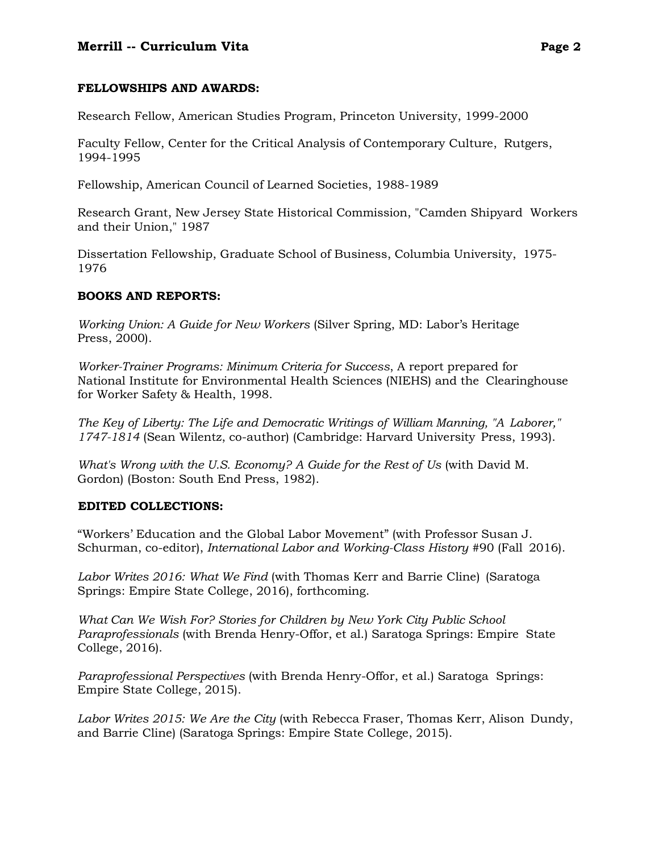#### **FELLOWSHIPS AND AWARDS:**

Research Fellow, American Studies Program, Princeton University, 1999-2000

Faculty Fellow, Center for the Critical Analysis of Contemporary Culture, Rutgers, 1994-1995

Fellowship, American Council of Learned Societies, 1988-1989

Research Grant, New Jersey State Historical Commission, "Camden Shipyard Workers and their Union," 1987

Dissertation Fellowship, Graduate School of Business, Columbia University, 1975- 1976

#### **BOOKS AND REPORTS:**

*Working Union: A Guide for New Workers* (Silver Spring, MD: Labor's Heritage Press, 2000).

*Worker-Trainer Programs: Minimum Criteria for Success*, A report prepared for National Institute for Environmental Health Sciences (NIEHS) and the Clearinghouse for Worker Safety & Health, 1998.

*The Key of Liberty: The Life and Democratic Writings of William Manning, "A Laborer," 1747-1814* (Sean Wilentz, co-author) (Cambridge: Harvard University Press, 1993).

*What's Wrong with the U.S. Economy? A Guide for the Rest of Us* (with David M. Gordon) (Boston: South End Press, 1982).

#### **EDITED COLLECTIONS:**

"Workers' Education and the Global Labor Movement" (with Professor Susan J. Schurman, co-editor), *International Labor and Working-Class History* #90 (Fall 2016).

*Labor Writes 2016: What We Find* (with Thomas Kerr and Barrie Cline) (Saratoga Springs: Empire State College, 2016), forthcoming.

*What Can We Wish For? Stories for Children by New York City Public School Paraprofessionals* (with Brenda Henry-Offor, et al.) Saratoga Springs: Empire State College, 2016).

*Paraprofessional Perspectives* (with Brenda Henry-Offor, et al.) Saratoga Springs: Empire State College, 2015).

*Labor Writes 2015: We Are the City* (with Rebecca Fraser, Thomas Kerr, Alison Dundy, and Barrie Cline) (Saratoga Springs: Empire State College, 2015).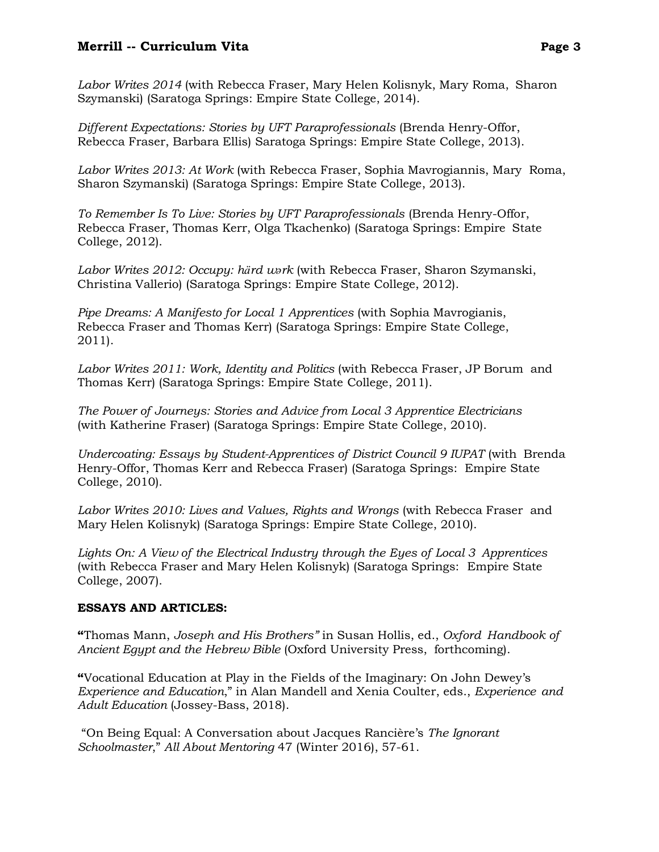*Labor Writes 2014* (with Rebecca Fraser, Mary Helen Kolisnyk, Mary Roma, Sharon Szymanski) (Saratoga Springs: Empire State College, 2014).

*Different Expectations: Stories by UFT Paraprofessionals* (Brenda Henry-Offor, Rebecca Fraser, Barbara Ellis) Saratoga Springs: Empire State College, 2013).

*Labor Writes 2013: At Work* (with Rebecca Fraser, Sophia Mavrogiannis, Mary Roma, Sharon Szymanski) (Saratoga Springs: Empire State College, 2013).

*To Remember Is To Live: Stories by UFT Paraprofessionals* (Brenda Henry-Offor, Rebecca Fraser, Thomas Kerr, Olga Tkachenko) (Saratoga Springs: Empire State College, 2012).

*Labor Writes 2012: Occupy: härd wərk* (with Rebecca Fraser, Sharon Szymanski, Christina Vallerio) (Saratoga Springs: Empire State College, 2012).

*Pipe Dreams: A Manifesto for Local 1 Apprentices* (with Sophia Mavrogianis, Rebecca Fraser and Thomas Kerr) (Saratoga Springs: Empire State College, 2011).

*Labor Writes 2011: Work, Identity and Politics* (with Rebecca Fraser, JP Borum and Thomas Kerr) (Saratoga Springs: Empire State College, 2011).

*The Power of Journeys: Stories and Advice from Local 3 Apprentice Electricians* (with Katherine Fraser) (Saratoga Springs: Empire State College, 2010).

*Undercoating: Essays by Student-Apprentices of District Council 9 IUPAT* (with Brenda Henry-Offor, Thomas Kerr and Rebecca Fraser) (Saratoga Springs: Empire State College, 2010).

*Labor Writes 2010: Lives and Values, Rights and Wrongs* (with Rebecca Fraser and Mary Helen Kolisnyk) (Saratoga Springs: Empire State College, 2010).

*Lights On: A View of the Electrical Industry through the Eyes of Local 3 Apprentices* (with Rebecca Fraser and Mary Helen Kolisnyk) (Saratoga Springs: Empire State College, 2007).

#### **ESSAYS AND ARTICLES:**

**"**Thomas Mann, *Joseph and His Brothers"* in Susan Hollis, ed., *Oxford Handbook of Ancient Egypt and the Hebrew Bible* (Oxford University Press, forthcoming).

**"**Vocational Education at Play in the Fields of the Imaginary: On John Dewey's *Experience and Education*," in Alan Mandell and Xenia Coulter, eds., *Experience and Adult Education* (Jossey-Bass, 2018).

"On Being Equal: A Conversation about Jacques Rancière's *The Ignorant Schoolmaster*," *All About Mentoring* 47 (Winter 2016), 57-61.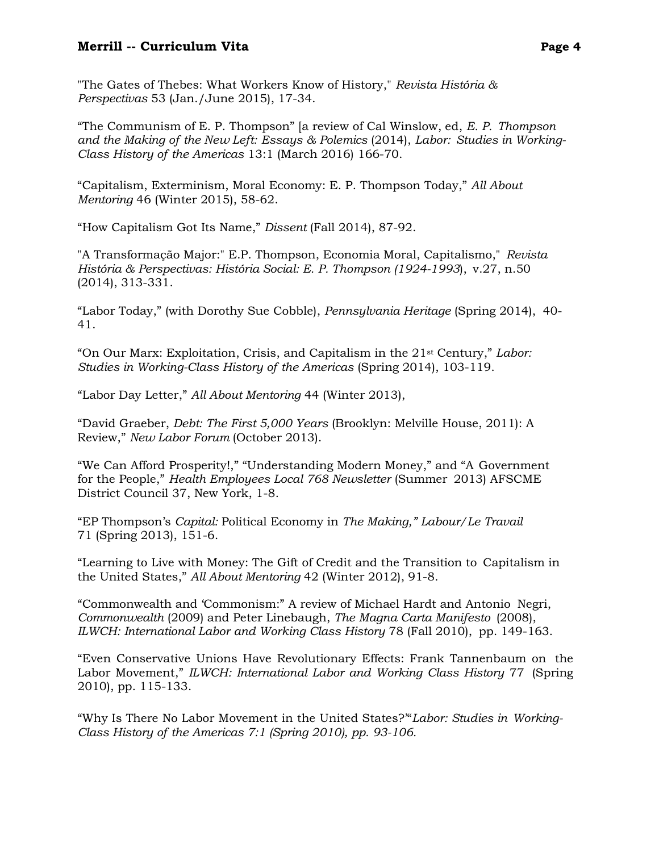"The Gates of Thebes: What Workers Know of History," *Revista História & Perspectivas* 53 (Jan./June 2015), 17-34.

"The Communism of E. P. Thompson" [a review of Cal Winslow, ed, *E. P. Thompson and the Making of the New Left: Essays & Polemics* (2014), *Labor: Studies in Working-Class History of the Americas* 13:1 (March 2016) 166-70.

"Capitalism, Exterminism, Moral Economy: E. P. Thompson Today," *All About Mentoring* 46 (Winter 2015), 58-62.

"How Capitalism Got Its Name," *Dissent* (Fall 2014), 87-92.

"A Transformação Major:" E.P. Thompson, Economia Moral, Capitalismo," *Revista História & Perspectivas: História Social: E. P. Thompson (1924-1993*), v.27, n.50 (2014), 313-331.

"Labor Today," (with Dorothy Sue Cobble), *Pennsylvania Heritage* (Spring 2014), 40- 41.

"On Our Marx: Exploitation, Crisis, and Capitalism in the 21st Century," *Labor: Studies in Working-Class History of the Americas* (Spring 2014), 103-119.

"Labor Day Letter," *All About Mentoring* 44 (Winter 2013),

"David Graeber, *Debt: The First 5,000 Years* (Brooklyn: Melville House, 2011): A Review," *New Labor Forum* (October 2013).

"We Can Afford Prosperity!," "Understanding Modern Money," and "A Government for the People," *Health Employees Local 768 Newsletter* (Summer 2013) AFSCME District Council 37, New York, 1-8.

"EP Thompson's *Capital:* Political Economy in *The Making," Labour/Le Travail* 71 (Spring 2013), 151-6.

"Learning to Live with Money: The Gift of Credit and the Transition to Capitalism in the United States," *All About Mentoring* 42 (Winter 2012), 91-8.

"Commonwealth and 'Commonism:" A review of Michael Hardt and Antonio Negri, *Commonwealth* (2009) and Peter Linebaugh, *The Magna Carta Manifesto* (2008), *ILWCH: International Labor and Working Class History* 78 (Fall 2010), pp. 149-163.

"Even Conservative Unions Have Revolutionary Effects: Frank Tannenbaum on the Labor Movement," *ILWCH: International Labor and Working Class History* 77 (Spring 2010), pp. 115-133.

"Why Is There No Labor Movement in the United States?'"*Labor: Studies in Working-Class History of the Americas 7:1 (Spring 2010), pp. 93-106.*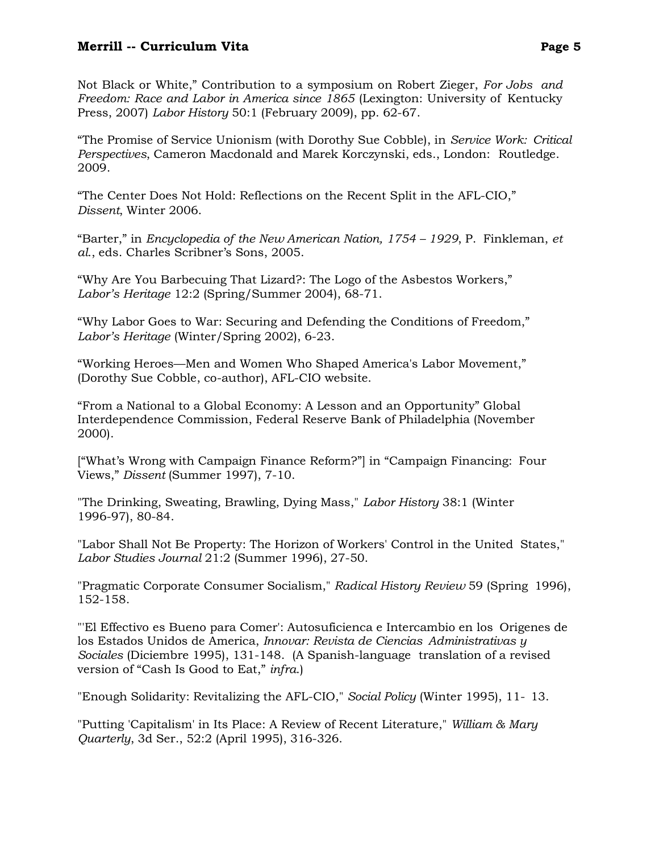Not Black or White," Contribution to a symposium on Robert Zieger, *For Jobs and Freedom: Race and Labor in America since 1865* (Lexington: University of Kentucky Press, 2007) *Labor History* 50:1 (February 2009), pp. 62-67.

"The Promise of Service Unionism (with Dorothy Sue Cobble), in *Service Work: Critical Perspectives*, Cameron Macdonald and Marek Korczynski, eds., London: Routledge. 2009.

"The Center Does Not Hold: Reflections on the Recent Split in the AFL-CIO," *Dissent*, Winter 2006.

"Barter," in *Encyclopedia of the New American Nation, 1754 – 1929*, P. Finkleman, *et al*., eds. Charles Scribner's Sons, 2005.

"Why Are You Barbecuing That Lizard?: The Logo of the Asbestos Workers," *Labor's Heritage* 12:2 (Spring/Summer 2004), 68-71.

"Why Labor Goes to War: Securing and Defending the Conditions of Freedom," *Labor's Heritage* (Winter/Spring 2002), 6-23.

"Working Heroes—Men and Women Who Shaped America's Labor Movement," (Dorothy Sue Cobble, co-author), AFL-CIO website.

"From a National to a Global Economy: A Lesson and an Opportunity" Global Interdependence Commission, Federal Reserve Bank of Philadelphia (November 2000).

["What's Wrong with Campaign Finance Reform?"] in "Campaign Financing: Four Views," *Dissent* (Summer 1997), 7-10.

"The Drinking, Sweating, Brawling, Dying Mass," *Labor History* 38:1 (Winter 1996-97), 80-84.

"Labor Shall Not Be Property: The Horizon of Workers' Control in the United States," *Labor Studies Journal* 21:2 (Summer 1996), 27-50.

"Pragmatic Corporate Consumer Socialism," *Radical History Review* 59 (Spring 1996), 152-158.

"'El Effectivo es Bueno para Comer': Autosuficienca e Intercambio en los Origenes de los Estados Unidos de America, *Innovar: Revista de Ciencias Administrativas y Sociales* (Diciembre 1995), 131-148. (A Spanish-language translation of a revised version of "Cash Is Good to Eat," *infra*.)

"Enough Solidarity: Revitalizing the AFL-CIO," *Social Policy* (Winter 1995), 11- 13.

"Putting 'Capitalism' in Its Place: A Review of Recent Literature," *William & Mary Quarterly*, 3d Ser., 52:2 (April 1995), 316-326.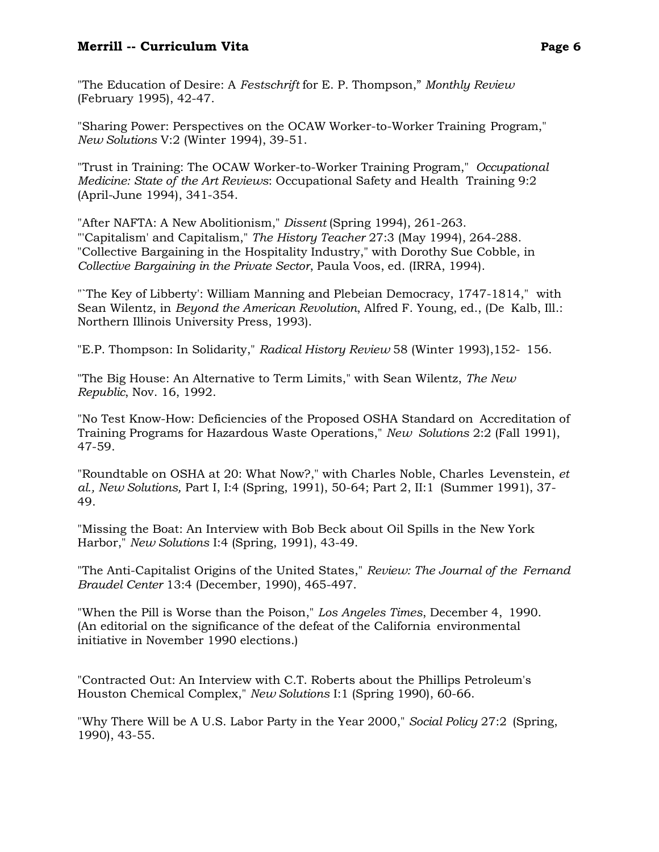"The Education of Desire: A *Festschrift* for E. P. Thompson," *Monthly Review* (February 1995), 42-47.

"Sharing Power: Perspectives on the OCAW Worker-to-Worker Training Program," *New Solutions* V:2 (Winter 1994), 39-51.

"Trust in Training: The OCAW Worker-to-Worker Training Program," *Occupational Medicine: State of the Art Reviews*: Occupational Safety and Health Training 9:2 (April-June 1994), 341-354.

"After NAFTA: A New Abolitionism," *Dissent* (Spring 1994), 261-263. "'Capitalism' and Capitalism," *The History Teacher* 27:3 (May 1994), 264-288. "Collective Bargaining in the Hospitality Industry," with Dorothy Sue Cobble, in *Collective Bargaining in the Private Sector*, Paula Voos, ed. (IRRA, 1994).

"`The Key of Libberty': William Manning and Plebeian Democracy, 1747-1814," with Sean Wilentz, in *Beyond the American Revolution*, Alfred F. Young, ed., (De Kalb, Ill.: Northern Illinois University Press, 1993).

"E.P. Thompson: In Solidarity," *Radical History Review* 58 (Winter 1993),152- 156.

"The Big House: An Alternative to Term Limits," with Sean Wilentz, *The New Republic*, Nov. 16, 1992.

"No Test Know-How: Deficiencies of the Proposed OSHA Standard on Accreditation of Training Programs for Hazardous Waste Operations," *New Solutions* 2:2 (Fall 1991), 47-59.

"Roundtable on OSHA at 20: What Now?," with Charles Noble, Charles Levenstein, *et al., New Solutions,* Part I, I:4 (Spring, 1991), 50-64; Part 2, II:1 (Summer 1991), 37- 49.

"Missing the Boat: An Interview with Bob Beck about Oil Spills in the New York Harbor," *New Solutions* I:4 (Spring, 1991), 43-49.

"The Anti-Capitalist Origins of the United States," *Review: The Journal of the Fernand Braudel Center* 13:4 (December, 1990), 465-497.

"When the Pill is Worse than the Poison," *Los Angeles Times*, December 4, 1990. (An editorial on the significance of the defeat of the California environmental initiative in November 1990 elections.)

"Contracted Out: An Interview with C.T. Roberts about the Phillips Petroleum's Houston Chemical Complex," *New Solutions* I:1 (Spring 1990), 60-66.

"Why There Will be A U.S. Labor Party in the Year 2000," *Social Policy* 27:2 (Spring, 1990), 43-55.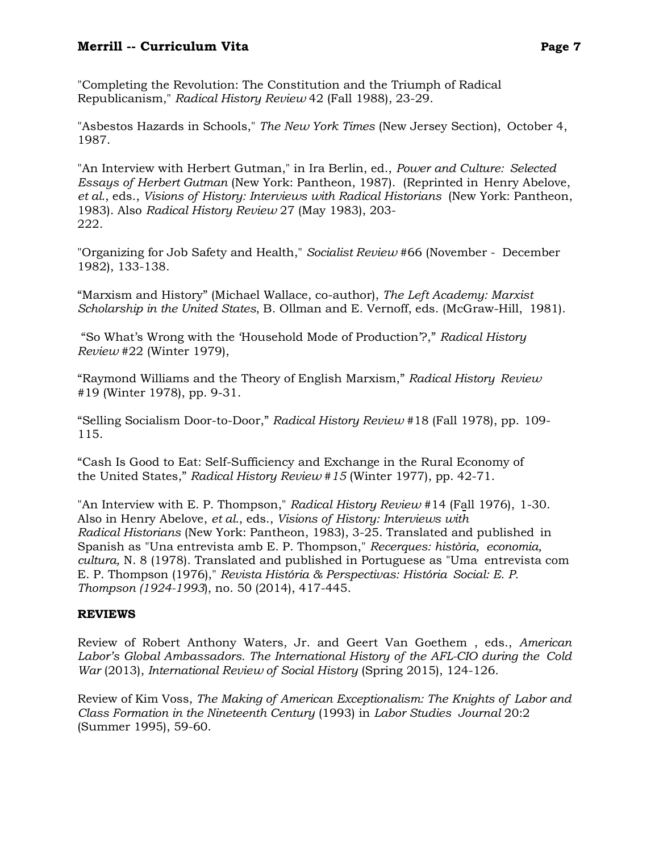"Completing the Revolution: The Constitution and the Triumph of Radical Republicanism," *Radical History Review* 42 (Fall 1988), 23-29.

"Asbestos Hazards in Schools," *The New York Times* (New Jersey Section), October 4, 1987.

"An Interview with Herbert Gutman," in Ira Berlin, ed., *Power and Culture: Selected Essays of Herbert Gutman* (New York: Pantheon, 1987). (Reprinted in Henry Abelove, *et al*., eds., *Visions of History: Interviews with Radical Historians* (New York: Pantheon, 1983). Also *Radical History Review* 27 (May 1983), 203- 222.

"Organizing for Job Safety and Health," *Socialist Review* #66 (November - December 1982), 133-138.

"Marxism and History" (Michael Wallace, co-author), *The Left Academy: Marxist Scholarship in the United States*, B. Ollman and E. Vernoff, eds. (McGraw-Hill, 1981).

"So What's Wrong with the 'Household Mode of Production'?," *Radical History Review* #22 (Winter 1979),

"Raymond Williams and the Theory of English Marxism," *Radical History Review* #19 (Winter 1978), pp. 9-31.

"Selling Socialism Door-to-Door," *Radical History Review* #18 (Fall 1978), pp. 109- 115.

"Cash Is Good to Eat: Self-Sufficiency and Exchange in the Rural Economy of the United States," *Radical History Review #15* (Winter 1977), pp. 42-71.

"An Interview with E. P. Thompson," *Radical History Review* #14 (Fall 1976), 1-30. Also in Henry Abelove, *et al*., eds., *Visions of History: Interviews with Radical Historians* (New York: Pantheon, 1983), 3-25. Translated and published in Spanish as "Una entrevista amb E. P. Thompson," *Recerques: història, economia, cultura,* N. 8 (1978). Translated and published in Portuguese as "Uma entrevista com E. P. Thompson (1976)," *Revista História & Perspectivas: História Social: E. P. Thompson (1924-1993*), no. 50 (2014), 417-445.

## **REVIEWS**

Review of Robert Anthony Waters, Jr. and Geert Van Goethem , eds., *American Labor's Global Ambassadors. The International History of the AFL-CIO during the Cold War* (2013), *International Review of Social History* (Spring 2015), 124-126*.*

Review of Kim Voss, *The Making of American Exceptionalism: The Knights of Labor and Class Formation in the Nineteenth Century* (1993) in *Labor Studies Journal* 20:2 (Summer 1995), 59-60.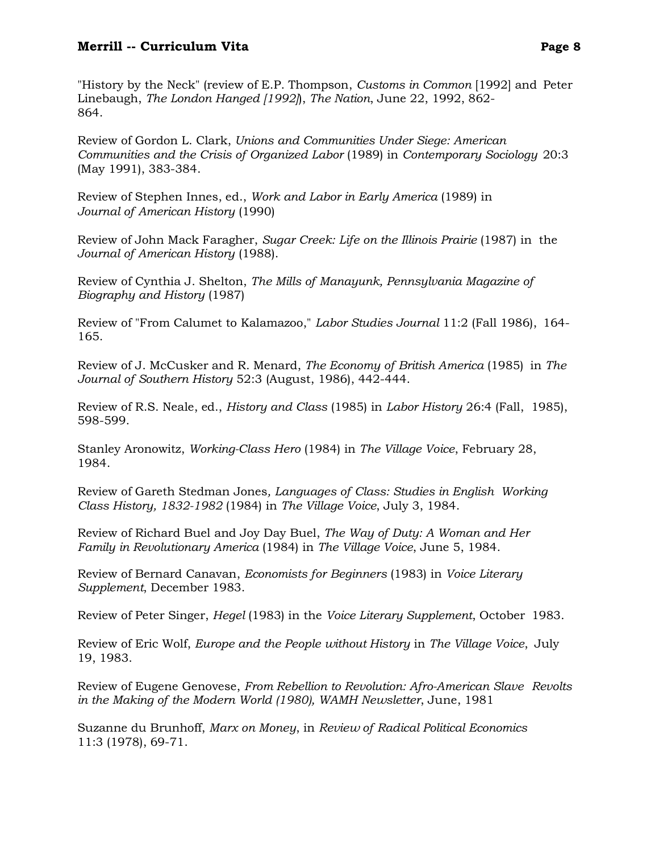"History by the Neck" (review of E.P. Thompson, *Customs in Common* [1992] and Peter Linebaugh, *The London Hanged [1992]*), *The Nation*, June 22, 1992, 862- 864.

Review of Gordon L. Clark, *Unions and Communities Under Siege: American Communities and the Crisis of Organized Labor* (1989) in *Contemporary Sociology* 20:3 (May 1991), 383-384.

Review of Stephen Innes, ed., *Work and Labor in Early America* (1989) in *Journal of American History* (1990)

Review of John Mack Faragher, *Sugar Creek: Life on the Illinois Prairie* (1987) in the *Journal of American History* (1988).

Review of Cynthia J. Shelton, *The Mills of Manayunk, Pennsylvania Magazine of Biography and History* (1987)

Review of "From Calumet to Kalamazoo," *Labor Studies Journal* 11:2 (Fall 1986), 164- 165.

Review of J. McCusker and R. Menard, *The Economy of British America* (1985) in *The Journal of Southern History* 52:3 (August, 1986), 442-444.

Review of R.S. Neale, ed., *History and Class* (1985) in *Labor History* 26:4 (Fall, 1985), 598-599.

Stanley Aronowitz, *Working-Class Hero* (1984) in *The Village Voice*, February 28, 1984.

Review of Gareth Stedman Jones*, Languages of Class: Studies in English Working Class History, 1832-1982* (1984) in *The Village Voice*, July 3, 1984.

Review of Richard Buel and Joy Day Buel, *The Way of Duty: A Woman and Her Family in Revolutionary America* (1984) in *The Village Voice*, June 5, 1984.

Review of Bernard Canavan, *Economists for Beginners* (1983) in *Voice Literary Supplement*, December 1983.

Review of Peter Singer, *Hegel* (1983) in the *Voice Literary Supplement*, October 1983.

Review of Eric Wolf, *Europe and the People without History* in *The Village Voice*, July 19, 1983.

Review of Eugene Genovese, *From Rebellion to Revolution: Afro-American Slave Revolts in the Making of the Modern World (1980), WAMH Newsletter*, June, 1981

Suzanne du Brunhoff, *Marx on Money*, in *Review of Radical Political Economics* 11:3 (1978), 69-71.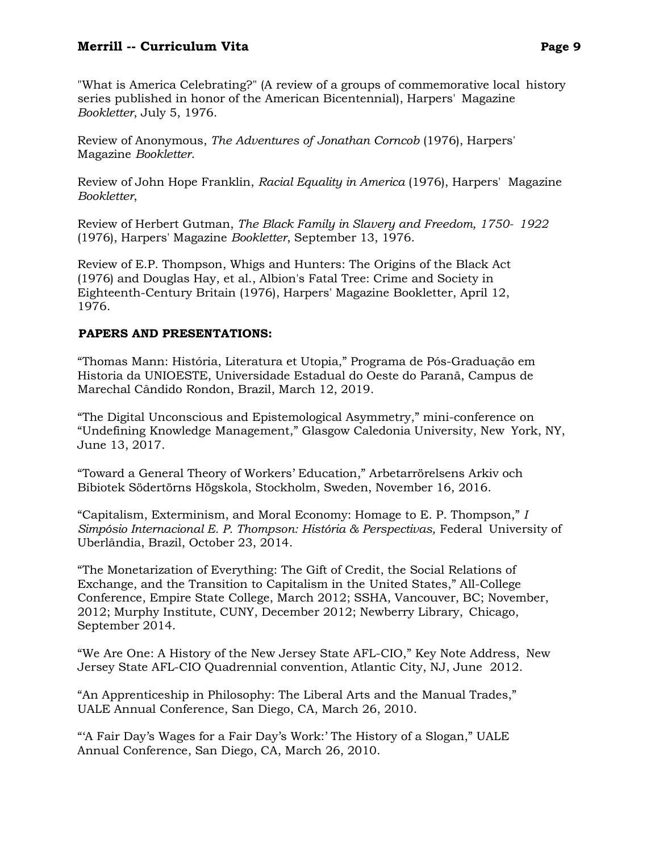"What is America Celebrating?" (A review of a groups of commemorative local history series published in honor of the American Bicentennial), Harpers' Magazine *Bookletter*, July 5, 1976.

Review of Anonymous, *The Adventures of Jonathan Corncob* (1976), Harpers' Magazine *Bookletter*.

Review of John Hope Franklin, *Racial Equality in America* (1976), Harpers' Magazine *Bookletter*,

Review of Herbert Gutman, *The Black Family in Slavery and Freedom, 1750- 1922* (1976), Harpers' Magazine *Bookletter*, September 13, 1976.

Review of E.P. Thompson, Whigs and Hunters: The Origins of the Black Act (1976) and Douglas Hay, et al., Albion's Fatal Tree: Crime and Society in Eighteenth-Century Britain (1976), Harpers' Magazine Bookletter, April 12, 1976.

## **PAPERS AND PRESENTATIONS:**

"Thomas Mann: História, Literatura et Utopia," Programa de Pós-Graduação em Historia da UNIOESTE, Universidade Estadual do Oeste do Paranã, Campus de Marechal Cândido Rondon, Brazil, March 12, 2019.

"The Digital Unconscious and Epistemological Asymmetry," mini-conference on "Undefining Knowledge Management," Glasgow Caledonia University, New York, NY, June 13, 2017.

"Toward a General Theory of Workers' Education," Arbetarrörelsens Arkiv och Bibiotek Södertörns Högskola, Stockholm, Sweden, November 16, 2016.

"Capitalism, Exterminism, and Moral Economy: Homage to E. P. Thompson," *I Simpósio Internacional E. P. Thompson: História & Perspectivas,* Federal University of Uberlândia, Brazil, October 23, 2014.

"The Monetarization of Everything: The Gift of Credit, the Social Relations of Exchange, and the Transition to Capitalism in the United States," All-College Conference, Empire State College, March 2012; SSHA, Vancouver, BC; November, 2012; Murphy Institute, CUNY, December 2012; Newberry Library, Chicago, September 2014.

"We Are One: A History of the New Jersey State AFL-CIO," Key Note Address, New Jersey State AFL-CIO Quadrennial convention, Atlantic City, NJ, June 2012.

"An Apprenticeship in Philosophy: The Liberal Arts and the Manual Trades," UALE Annual Conference, San Diego, CA, March 26, 2010.

"'A Fair Day's Wages for a Fair Day's Work:' The History of a Slogan," UALE Annual Conference, San Diego, CA, March 26, 2010.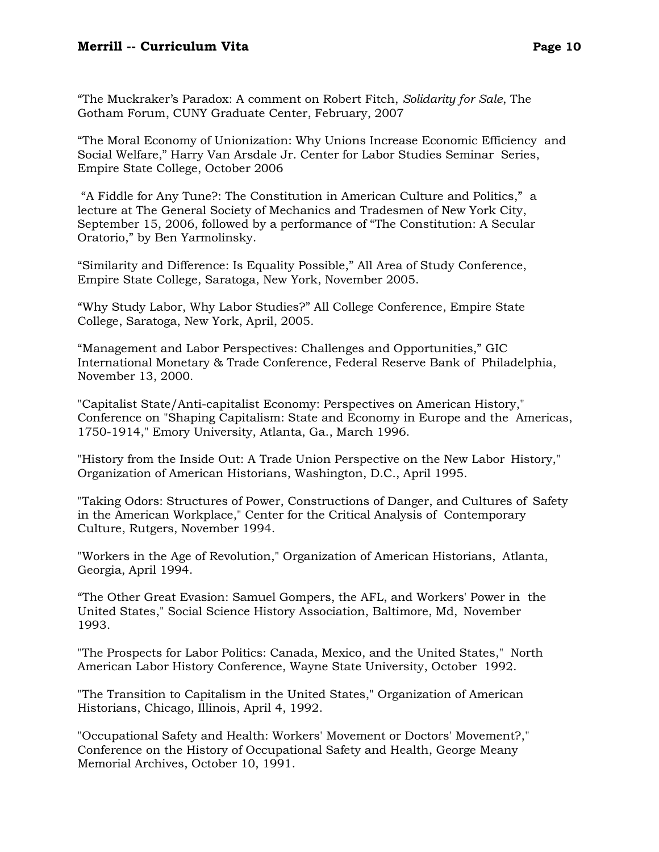## **Merrill -- Curriculum Vita Page 10 Page 10**

"The Muckraker's Paradox: A comment on Robert Fitch, *Solidarity for Sale*, The Gotham Forum, CUNY Graduate Center, February, 2007

"The Moral Economy of Unionization: Why Unions Increase Economic Efficiency and Social Welfare," Harry Van Arsdale Jr. Center for Labor Studies Seminar Series, Empire State College, October 2006

"A Fiddle for Any Tune?: The Constitution in American Culture and Politics," a lecture at The General Society of Mechanics and Tradesmen of New York City, September 15, 2006, followed by a performance of "The Constitution: A Secular Oratorio," by Ben Yarmolinsky.

"Similarity and Difference: Is Equality Possible," All Area of Study Conference, Empire State College, Saratoga, New York, November 2005.

"Why Study Labor, Why Labor Studies?" All College Conference, Empire State College, Saratoga, New York, April, 2005.

"Management and Labor Perspectives: Challenges and Opportunities," GIC International Monetary & Trade Conference, Federal Reserve Bank of Philadelphia, November 13, 2000.

"Capitalist State/Anti-capitalist Economy: Perspectives on American History," Conference on "Shaping Capitalism: State and Economy in Europe and the Americas, 1750-1914," Emory University, Atlanta, Ga., March 1996.

"History from the Inside Out: A Trade Union Perspective on the New Labor History," Organization of American Historians, Washington, D.C., April 1995.

"Taking Odors: Structures of Power, Constructions of Danger, and Cultures of Safety in the American Workplace," Center for the Critical Analysis of Contemporary Culture, Rutgers, November 1994.

"Workers in the Age of Revolution," Organization of American Historians, Atlanta, Georgia, April 1994.

"The Other Great Evasion: Samuel Gompers, the AFL, and Workers' Power in the United States," Social Science History Association, Baltimore, Md, November 1993.

"The Prospects for Labor Politics: Canada, Mexico, and the United States," North American Labor History Conference, Wayne State University, October 1992.

"The Transition to Capitalism in the United States," Organization of American Historians, Chicago, Illinois, April 4, 1992.

"Occupational Safety and Health: Workers' Movement or Doctors' Movement?," Conference on the History of Occupational Safety and Health, George Meany Memorial Archives, October 10, 1991.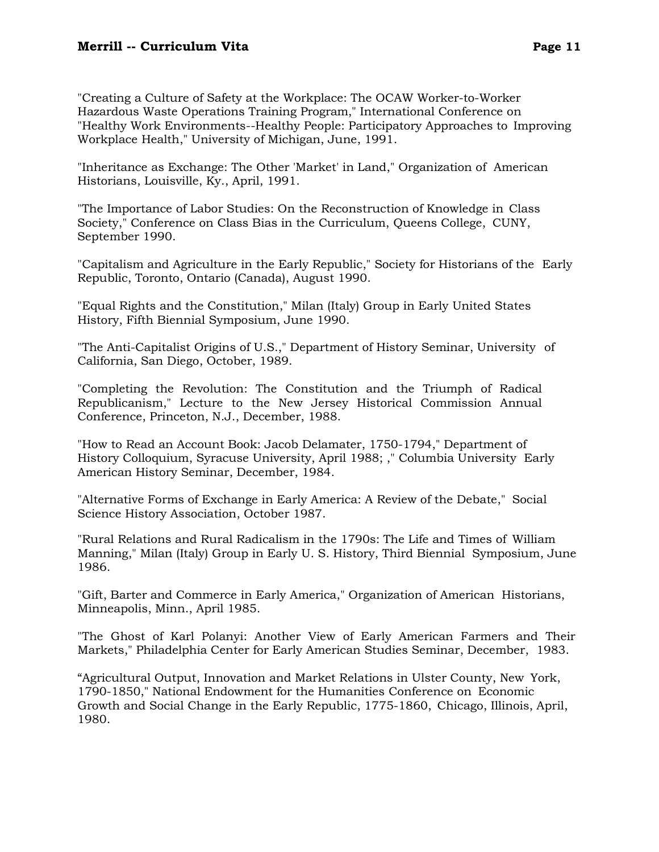"Creating a Culture of Safety at the Workplace: The OCAW Worker-to-Worker Hazardous Waste Operations Training Program," International Conference on "Healthy Work Environments--Healthy People: Participatory Approaches to Improving Workplace Health," University of Michigan, June, 1991.

"Inheritance as Exchange: The Other 'Market' in Land," Organization of American Historians, Louisville, Ky., April, 1991.

"The Importance of Labor Studies: On the Reconstruction of Knowledge in Class Society," Conference on Class Bias in the Curriculum, Queens College, CUNY, September 1990.

"Capitalism and Agriculture in the Early Republic," Society for Historians of the Early Republic, Toronto, Ontario (Canada), August 1990.

"Equal Rights and the Constitution," Milan (Italy) Group in Early United States History, Fifth Biennial Symposium, June 1990.

"The Anti-Capitalist Origins of U.S.," Department of History Seminar, University of California, San Diego, October, 1989.

"Completing the Revolution: The Constitution and the Triumph of Radical Republicanism," Lecture to the New Jersey Historical Commission Annual Conference, Princeton, N.J., December, 1988.

"How to Read an Account Book: Jacob Delamater, 1750-1794," Department of History Colloquium, Syracuse University, April 1988; ," Columbia University Early American History Seminar, December, 1984.

"Alternative Forms of Exchange in Early America: A Review of the Debate," Social Science History Association, October 1987.

"Rural Relations and Rural Radicalism in the 1790s: The Life and Times of William Manning," Milan (Italy) Group in Early U. S. History, Third Biennial Symposium, June 1986.

"Gift, Barter and Commerce in Early America," Organization of American Historians, Minneapolis, Minn., April 1985.

"The Ghost of Karl Polanyi: Another View of Early American Farmers and Their Markets," Philadelphia Center for Early American Studies Seminar, December, 1983.

"Agricultural Output, Innovation and Market Relations in Ulster County, New York, 1790-1850," National Endowment for the Humanities Conference on Economic Growth and Social Change in the Early Republic, 1775-1860, Chicago, Illinois, April, 1980.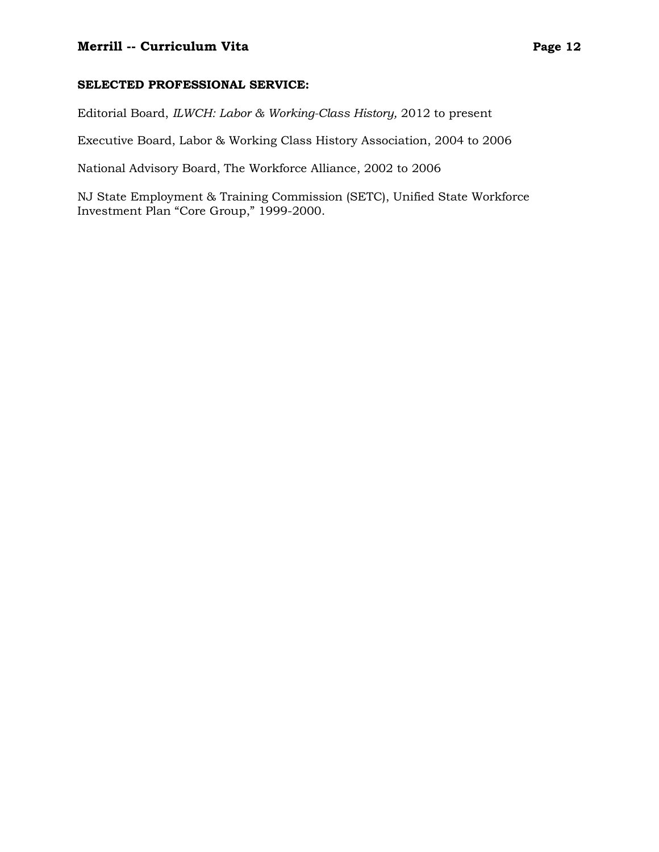#### **SELECTED PROFESSIONAL SERVICE:**

Editorial Board, *ILWCH: Labor & Working-Class History,* 2012 to present

Executive Board, Labor & Working Class History Association, 2004 to 2006

National Advisory Board, The Workforce Alliance, 2002 to 2006

NJ State Employment & Training Commission (SETC), Unified State Workforce Investment Plan "Core Group," 1999-2000.